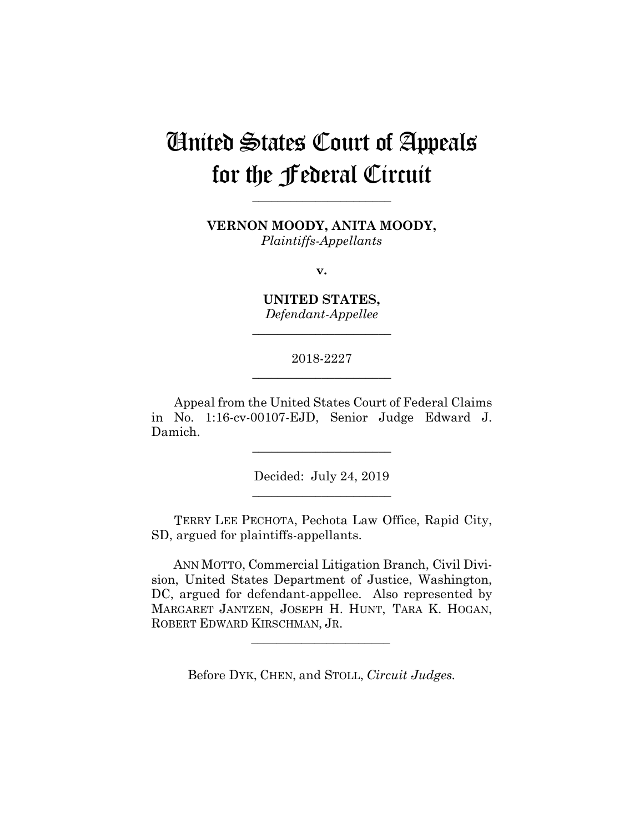# United States Court of Appeals for the Federal Circuit

**VERNON MOODY, ANITA MOODY,**

**\_\_\_\_\_\_\_\_\_\_\_\_\_\_\_\_\_\_\_\_\_\_**

*Plaintiffs-Appellants*

**v.**

**UNITED STATES,** *Defendant-Appellee*

**\_\_\_\_\_\_\_\_\_\_\_\_\_\_\_\_\_\_\_\_\_\_**

2018-2227 **\_\_\_\_\_\_\_\_\_\_\_\_\_\_\_\_\_\_\_\_\_\_**

Appeal from the United States Court of Federal Claims in No. 1:16-cv-00107-EJD, Senior Judge Edward J. Damich.

**\_\_\_\_\_\_\_\_\_\_\_\_\_\_\_\_\_\_\_\_\_\_**

Decided: July 24, 2019 **\_\_\_\_\_\_\_\_\_\_\_\_\_\_\_\_\_\_\_\_\_\_**

TERRY LEE PECHOTA, Pechota Law Office, Rapid City, SD, argued for plaintiffs-appellants.

 ANN MOTTO, Commercial Litigation Branch, Civil Division, United States Department of Justice, Washington, DC, argued for defendant-appellee. Also represented by MARGARET JANTZEN, JOSEPH H. HUNT, TARA K. HOGAN, ROBERT EDWARD KIRSCHMAN, JR.

Before DYK, CHEN, and STOLL, *Circuit Judges.*

 $\mathcal{L}_\text{max}$  and  $\mathcal{L}_\text{max}$  and  $\mathcal{L}_\text{max}$  and  $\mathcal{L}_\text{max}$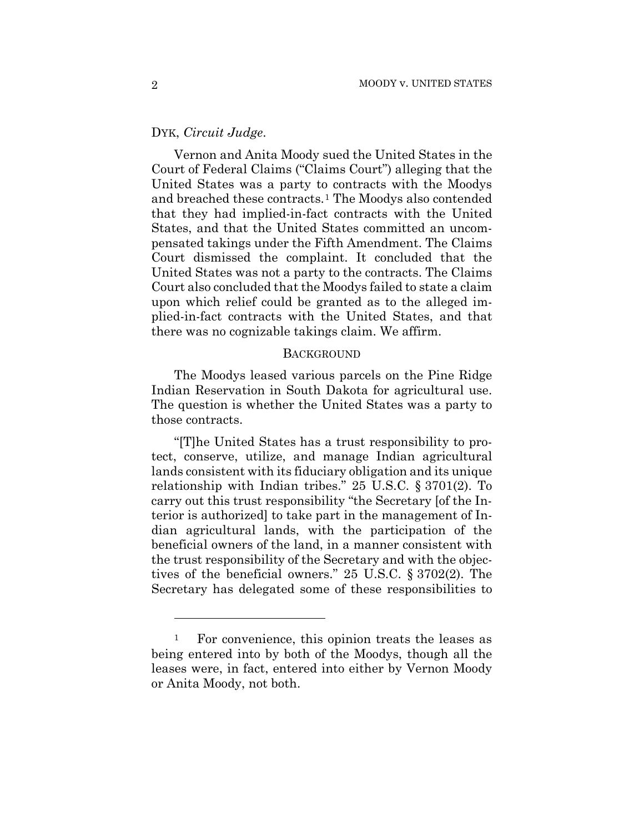## DYK, *Circuit Judge*.

Vernon and Anita Moody sued the United States in the Court of Federal Claims ("Claims Court") alleging that the United States was a party to contracts with the Moodys and breached these contracts.1 The Moodys also contended that they had implied-in-fact contracts with the United States, and that the United States committed an uncompensated takings under the Fifth Amendment. The Claims Court dismissed the complaint. It concluded that the United States was not a party to the contracts. The Claims Court also concluded that the Moodys failed to state a claim upon which relief could be granted as to the alleged implied-in-fact contracts with the United States, and that there was no cognizable takings claim. We affirm.

#### **BACKGROUND**

The Moodys leased various parcels on the Pine Ridge Indian Reservation in South Dakota for agricultural use. The question is whether the United States was a party to those contracts.

"[T]he United States has a trust responsibility to protect, conserve, utilize, and manage Indian agricultural lands consistent with its fiduciary obligation and its unique relationship with Indian tribes." 25 U.S.C. § 3701(2). To carry out this trust responsibility "the Secretary [of the Interior is authorized] to take part in the management of Indian agricultural lands, with the participation of the beneficial owners of the land, in a manner consistent with the trust responsibility of the Secretary and with the objectives of the beneficial owners." 25 U.S.C. § 3702(2). The Secretary has delegated some of these responsibilities to

<u>.</u>

<sup>&</sup>lt;sup>1</sup> For convenience, this opinion treats the leases as being entered into by both of the Moodys, though all the leases were, in fact, entered into either by Vernon Moody or Anita Moody, not both.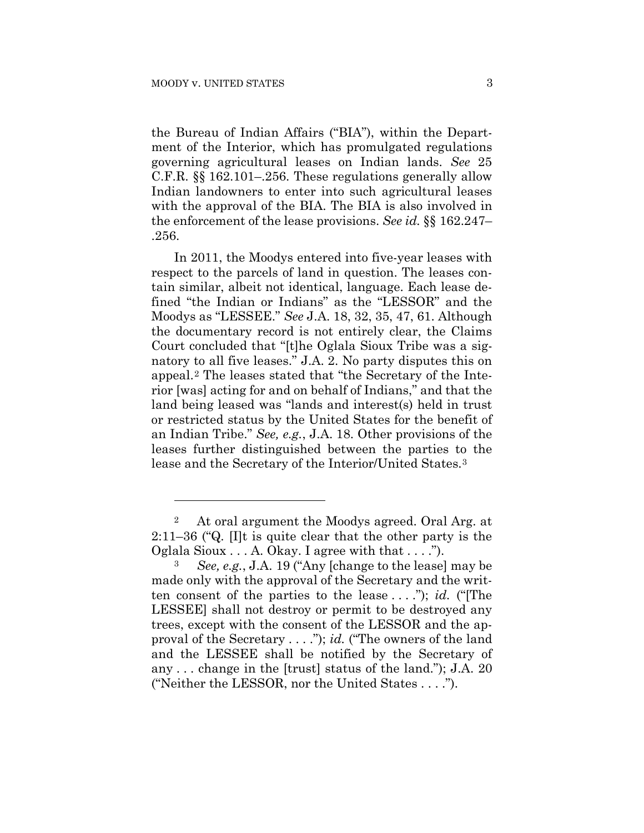1

the Bureau of Indian Affairs ("BIA"), within the Department of the Interior, which has promulgated regulations governing agricultural leases on Indian lands. *See* 25 C.F.R. §§ 162.101–.256. These regulations generally allow Indian landowners to enter into such agricultural leases with the approval of the BIA. The BIA is also involved in the enforcement of the lease provisions. *See id.* §§ 162.247– .256.

In 2011, the Moodys entered into five-year leases with respect to the parcels of land in question. The leases contain similar, albeit not identical, language. Each lease defined "the Indian or Indians" as the "LESSOR" and the Moodys as "LESSEE." *See* J.A. 18, 32, 35, 47, 61. Although the documentary record is not entirely clear, the Claims Court concluded that "[t]he Oglala Sioux Tribe was a signatory to all five leases." J.A. 2. No party disputes this on appeal.2 The leases stated that "the Secretary of the Interior [was] acting for and on behalf of Indians," and that the land being leased was "lands and interest(s) held in trust or restricted status by the United States for the benefit of an Indian Tribe." *See, e.g.*, J.A. 18. Other provisions of the leases further distinguished between the parties to the lease and the Secretary of the Interior/United States.3

<sup>2</sup> At oral argument the Moodys agreed. Oral Arg. at 2:11–36 ("Q. [I]t is quite clear that the other party is the Oglala Sioux  $\ldots$  A. Okay. I agree with that  $\ldots$ .").

<sup>3</sup> *See, e.g.*, J.A. 19 ("Any [change to the lease] may be made only with the approval of the Secretary and the written consent of the parties to the lease . . . ."); *id.* ("[The LESSEE] shall not destroy or permit to be destroyed any trees, except with the consent of the LESSOR and the approval of the Secretary . . . ."); *id.* ("The owners of the land and the LESSEE shall be notified by the Secretary of any . . . change in the [trust] status of the land."); J.A. 20 ("Neither the LESSOR, nor the United States . . . .").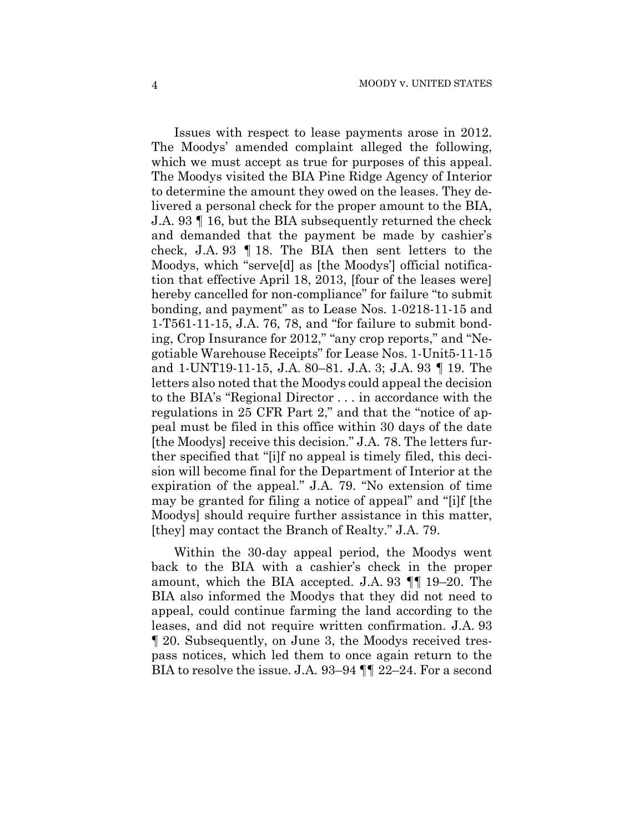Issues with respect to lease payments arose in 2012. The Moodys' amended complaint alleged the following, which we must accept as true for purposes of this appeal. The Moodys visited the BIA Pine Ridge Agency of Interior to determine the amount they owed on the leases. They delivered a personal check for the proper amount to the BIA, J.A. 93 ¶ 16, but the BIA subsequently returned the check and demanded that the payment be made by cashier's check, J.A. 93 ¶ 18. The BIA then sent letters to the Moodys, which "serve[d] as [the Moodys'] official notification that effective April 18, 2013, [four of the leases were] hereby cancelled for non-compliance" for failure "to submit bonding, and payment" as to Lease Nos. 1-0218-11-15 and 1-T561-11-15, J.A. 76, 78, and "for failure to submit bonding, Crop Insurance for 2012," "any crop reports," and "Negotiable Warehouse Receipts" for Lease Nos. 1-Unit5-11-15 and 1-UNT19-11-15, J.A. 80–81. J.A. 3; J.A. 93 ¶ 19. The letters also noted that the Moodys could appeal the decision to the BIA's "Regional Director . . . in accordance with the regulations in 25 CFR Part 2," and that the "notice of appeal must be filed in this office within 30 days of the date [the Moodys] receive this decision." J.A. 78. The letters further specified that "[i]f no appeal is timely filed, this decision will become final for the Department of Interior at the expiration of the appeal." J.A. 79. "No extension of time may be granted for filing a notice of appeal" and "[i]f [the Moodys] should require further assistance in this matter, [they] may contact the Branch of Realty." J.A. 79.

Within the 30-day appeal period, the Moodys went back to the BIA with a cashier's check in the proper amount, which the BIA accepted. J.A. 93 ¶¶ 19–20. The BIA also informed the Moodys that they did not need to appeal, could continue farming the land according to the leases, and did not require written confirmation. J.A. 93 ¶ 20. Subsequently, on June 3, the Moodys received trespass notices, which led them to once again return to the BIA to resolve the issue. J.A. 93–94 ¶¶ 22–24. For a second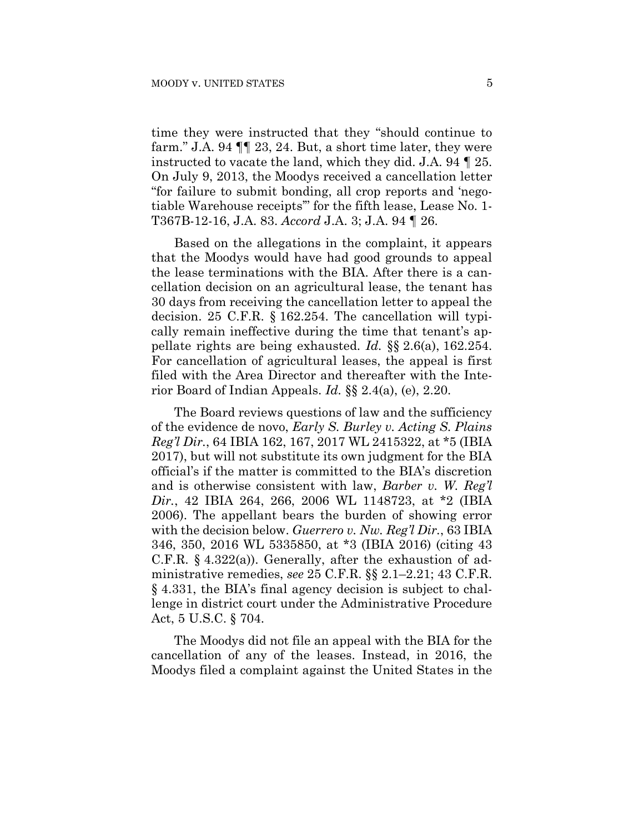time they were instructed that they "should continue to farm." J.A. 94 ¶¶ 23, 24. But, a short time later, they were instructed to vacate the land, which they did. J.A. 94 ¶ 25. On July 9, 2013, the Moodys received a cancellation letter "for failure to submit bonding, all crop reports and 'negotiable Warehouse receipts'" for the fifth lease, Lease No. 1- T367B-12-16, J.A. 83. *Accord* J.A. 3; J.A. 94 ¶ 26.

Based on the allegations in the complaint, it appears that the Moodys would have had good grounds to appeal the lease terminations with the BIA. After there is a cancellation decision on an agricultural lease, the tenant has 30 days from receiving the cancellation letter to appeal the decision. 25 C.F.R. § 162.254. The cancellation will typically remain ineffective during the time that tenant's appellate rights are being exhausted. *Id.* §§ 2.6(a), 162.254. For cancellation of agricultural leases, the appeal is first filed with the Area Director and thereafter with the Interior Board of Indian Appeals. *Id.* §§ 2.4(a), (e), 2.20.

The Board reviews questions of law and the sufficiency of the evidence de novo, *Early S. Burley v. Acting S. Plains Reg'l Dir.*, 64 IBIA 162, 167, 2017 WL 2415322, at \*5 (IBIA 2017), but will not substitute its own judgment for the BIA official's if the matter is committed to the BIA's discretion and is otherwise consistent with law, *Barber v. W. Reg'l Dir.*, 42 IBIA 264, 266, 2006 WL 1148723, at \*2 (IBIA 2006). The appellant bears the burden of showing error with the decision below. *Guerrero v. Nw. Reg'l Dir.*, 63 IBIA 346, 350, 2016 WL 5335850, at \*3 (IBIA 2016) (citing 43 C.F.R. § 4.322(a)). Generally, after the exhaustion of administrative remedies, *see* 25 C.F.R. §§ 2.1–2.21; 43 C.F.R. § 4.331, the BIA's final agency decision is subject to challenge in district court under the Administrative Procedure Act, 5 U.S.C. § 704.

The Moodys did not file an appeal with the BIA for the cancellation of any of the leases. Instead, in 2016, the Moodys filed a complaint against the United States in the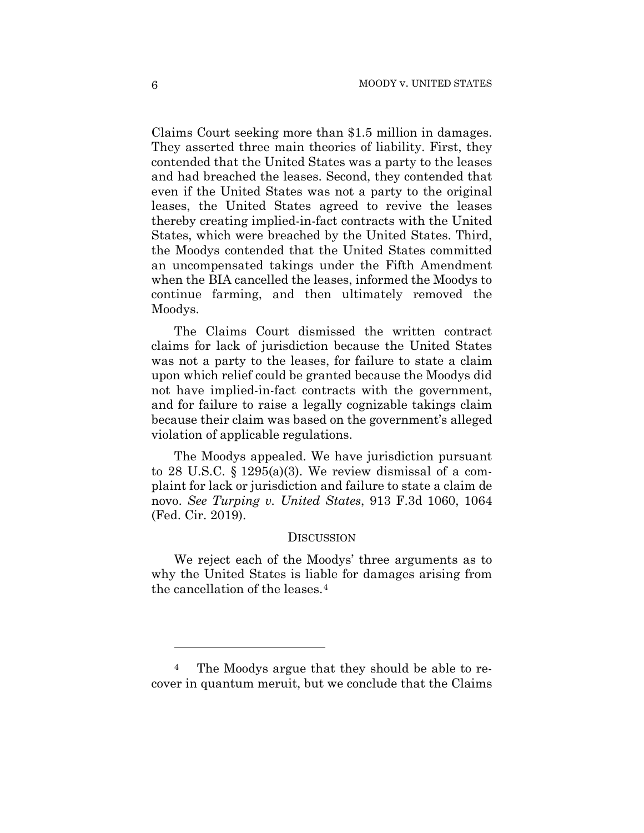Claims Court seeking more than \$1.5 million in damages. They asserted three main theories of liability. First, they contended that the United States was a party to the leases and had breached the leases. Second, they contended that even if the United States was not a party to the original leases, the United States agreed to revive the leases thereby creating implied-in-fact contracts with the United States, which were breached by the United States. Third, the Moodys contended that the United States committed an uncompensated takings under the Fifth Amendment when the BIA cancelled the leases, informed the Moodys to continue farming, and then ultimately removed the Moodys.

The Claims Court dismissed the written contract claims for lack of jurisdiction because the United States was not a party to the leases, for failure to state a claim upon which relief could be granted because the Moodys did not have implied-in-fact contracts with the government, and for failure to raise a legally cognizable takings claim because their claim was based on the government's alleged violation of applicable regulations.

The Moodys appealed. We have jurisdiction pursuant to 28 U.S.C.  $\S 1295(a)(3)$ . We review dismissal of a complaint for lack or jurisdiction and failure to state a claim de novo. *See Turping v. United States*, 913 F.3d 1060, 1064 (Fed. Cir. 2019).

#### **DISCUSSION**

We reject each of the Moodys' three arguments as to why the United States is liable for damages arising from the cancellation of the leases.4

1

<sup>&</sup>lt;sup>4</sup> The Moodys argue that they should be able to recover in quantum meruit, but we conclude that the Claims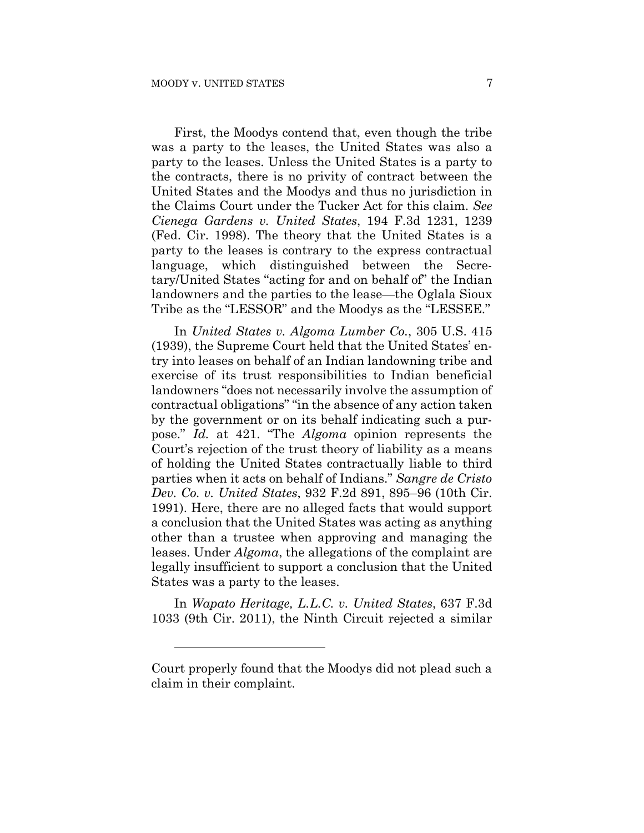First, the Moodys contend that, even though the tribe was a party to the leases, the United States was also a party to the leases. Unless the United States is a party to the contracts, there is no privity of contract between the United States and the Moodys and thus no jurisdiction in the Claims Court under the Tucker Act for this claim. *See Cienega Gardens v. United States*, 194 F.3d 1231, 1239 (Fed. Cir. 1998). The theory that the United States is a party to the leases is contrary to the express contractual language, which distinguished between the Secretary/United States "acting for and on behalf of" the Indian landowners and the parties to the lease—the Oglala Sioux Tribe as the "LESSOR" and the Moodys as the "LESSEE."

In *United States v. Algoma Lumber Co.*, 305 U.S. 415 (1939), the Supreme Court held that the United States' entry into leases on behalf of an Indian landowning tribe and exercise of its trust responsibilities to Indian beneficial landowners "does not necessarily involve the assumption of contractual obligations" "in the absence of any action taken by the government or on its behalf indicating such a purpose." *Id.* at 421. "The *Algoma* opinion represents the Court's rejection of the trust theory of liability as a means of holding the United States contractually liable to third parties when it acts on behalf of Indians." *Sangre de Cristo Dev. Co. v. United States*, 932 F.2d 891, 895–96 (10th Cir. 1991). Here, there are no alleged facts that would support a conclusion that the United States was acting as anything other than a trustee when approving and managing the leases. Under *Algoma*, the allegations of the complaint are legally insufficient to support a conclusion that the United States was a party to the leases.

In *Wapato Heritage, L.L.C. v. United States*, 637 F.3d 1033 (9th Cir. 2011), the Ninth Circuit rejected a similar

1

Court properly found that the Moodys did not plead such a claim in their complaint.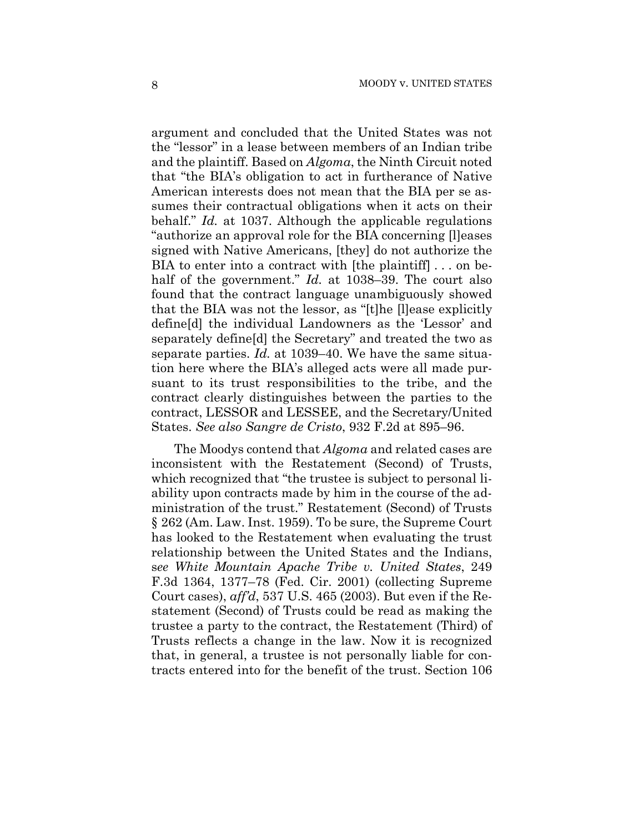argument and concluded that the United States was not the "lessor" in a lease between members of an Indian tribe and the plaintiff. Based on *Algoma*, the Ninth Circuit noted that "the BIA's obligation to act in furtherance of Native American interests does not mean that the BIA per se assumes their contractual obligations when it acts on their behalf." *Id.* at 1037. Although the applicable regulations "authorize an approval role for the BIA concerning [l]eases signed with Native Americans, [they] do not authorize the BIA to enter into a contract with [the plaintiff] . . . on behalf of the government." *Id.* at 1038–39. The court also found that the contract language unambiguously showed that the BIA was not the lessor, as "[t]he [l]ease explicitly define[d] the individual Landowners as the 'Lessor' and separately define[d] the Secretary" and treated the two as separate parties. *Id.* at 1039–40. We have the same situation here where the BIA's alleged acts were all made pursuant to its trust responsibilities to the tribe, and the contract clearly distinguishes between the parties to the contract, LESSOR and LESSEE, and the Secretary/United States. *See also Sangre de Cristo*, 932 F.2d at 895–96.

The Moodys contend that *Algoma* and related cases are inconsistent with the Restatement (Second) of Trusts, which recognized that "the trustee is subject to personal liability upon contracts made by him in the course of the administration of the trust." Restatement (Second) of Trusts § 262 (Am. Law. Inst. 1959). To be sure, the Supreme Court has looked to the Restatement when evaluating the trust relationship between the United States and the Indians, s*ee White Mountain Apache Tribe v. United States*, 249 F.3d 1364, 1377–78 (Fed. Cir. 2001) (collecting Supreme Court cases), *aff'd*, 537 U.S. 465 (2003). But even if the Restatement (Second) of Trusts could be read as making the trustee a party to the contract, the Restatement (Third) of Trusts reflects a change in the law. Now it is recognized that, in general, a trustee is not personally liable for contracts entered into for the benefit of the trust. Section 106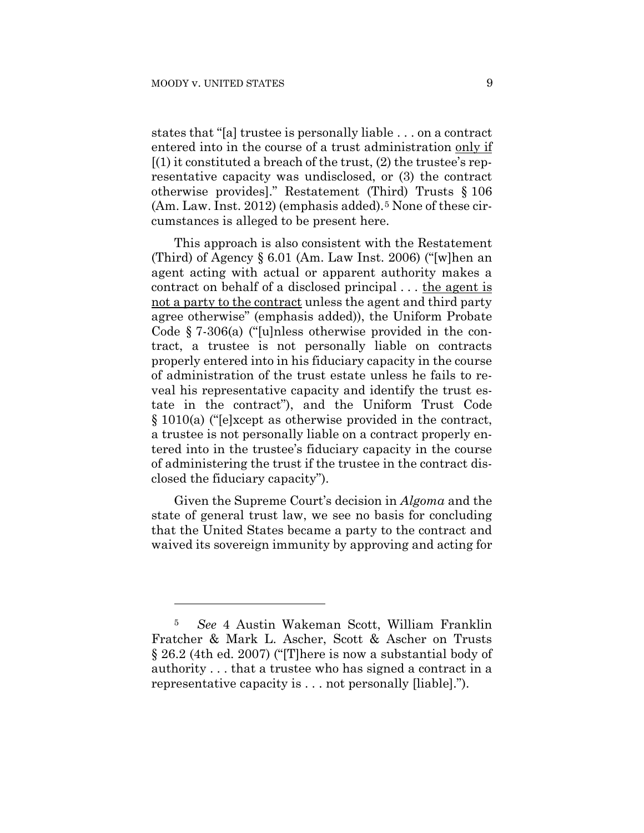1

states that "[a] trustee is personally liable . . . on a contract entered into in the course of a trust administration only if  $(1)$  it constituted a breach of the trust,  $(2)$  the trustee's representative capacity was undisclosed, or (3) the contract otherwise provides]." Restatement (Third) Trusts § 106  $(Am. Law. Inst. 2012)$  (emphasis added).<sup>5</sup> None of these circumstances is alleged to be present here.

This approach is also consistent with the Restatement (Third) of Agency § 6.01 (Am. Law Inst. 2006) ("[w]hen an agent acting with actual or apparent authority makes a contract on behalf of a disclosed principal . . . the agent is not a party to the contract unless the agent and third party agree otherwise" (emphasis added)), the Uniform Probate Code § 7-306(a) ("[u]nless otherwise provided in the contract, a trustee is not personally liable on contracts properly entered into in his fiduciary capacity in the course of administration of the trust estate unless he fails to reveal his representative capacity and identify the trust estate in the contract"), and the Uniform Trust Code § 1010(a) ("[e]xcept as otherwise provided in the contract, a trustee is not personally liable on a contract properly entered into in the trustee's fiduciary capacity in the course of administering the trust if the trustee in the contract disclosed the fiduciary capacity").

Given the Supreme Court's decision in *Algoma* and the state of general trust law, we see no basis for concluding that the United States became a party to the contract and waived its sovereign immunity by approving and acting for

<sup>5</sup> *See* 4 Austin Wakeman Scott, William Franklin Fratcher & Mark L. Ascher, Scott & Ascher on Trusts § 26.2 (4th ed. 2007) ("[T]here is now a substantial body of authority . . . that a trustee who has signed a contract in a representative capacity is . . . not personally [liable].").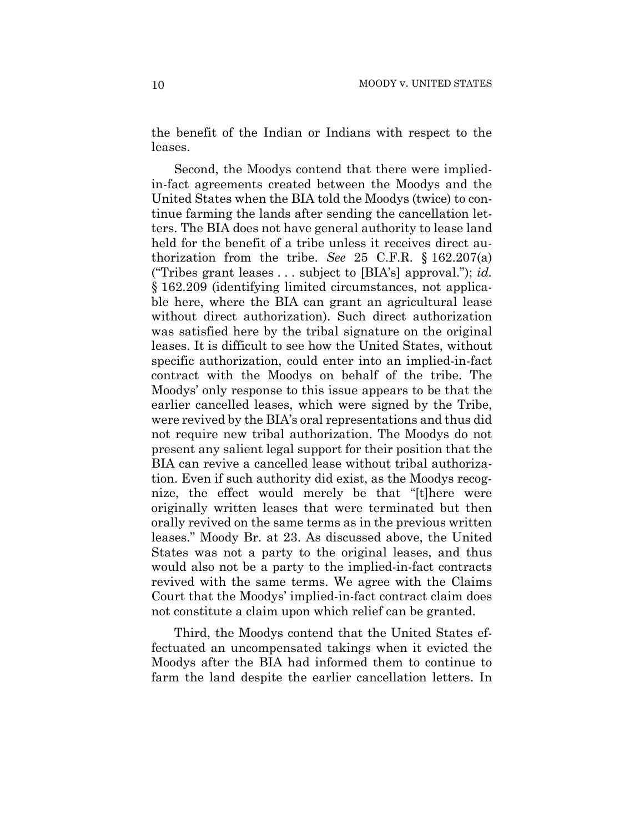the benefit of the Indian or Indians with respect to the leases.

Second, the Moodys contend that there were impliedin-fact agreements created between the Moodys and the United States when the BIA told the Moodys (twice) to continue farming the lands after sending the cancellation letters. The BIA does not have general authority to lease land held for the benefit of a tribe unless it receives direct authorization from the tribe. *See* 25 C.F.R. § 162.207(a) ("Tribes grant leases . . . subject to [BIA's] approval."); *id.* § 162.209 (identifying limited circumstances, not applicable here, where the BIA can grant an agricultural lease without direct authorization). Such direct authorization was satisfied here by the tribal signature on the original leases. It is difficult to see how the United States, without specific authorization, could enter into an implied-in-fact contract with the Moodys on behalf of the tribe. The Moodys' only response to this issue appears to be that the earlier cancelled leases, which were signed by the Tribe, were revived by the BIA's oral representations and thus did not require new tribal authorization. The Moodys do not present any salient legal support for their position that the BIA can revive a cancelled lease without tribal authorization. Even if such authority did exist, as the Moodys recognize, the effect would merely be that "[t]here were originally written leases that were terminated but then orally revived on the same terms as in the previous written leases." Moody Br. at 23. As discussed above, the United States was not a party to the original leases, and thus would also not be a party to the implied-in-fact contracts revived with the same terms. We agree with the Claims Court that the Moodys' implied-in-fact contract claim does not constitute a claim upon which relief can be granted.

Third, the Moodys contend that the United States effectuated an uncompensated takings when it evicted the Moodys after the BIA had informed them to continue to farm the land despite the earlier cancellation letters. In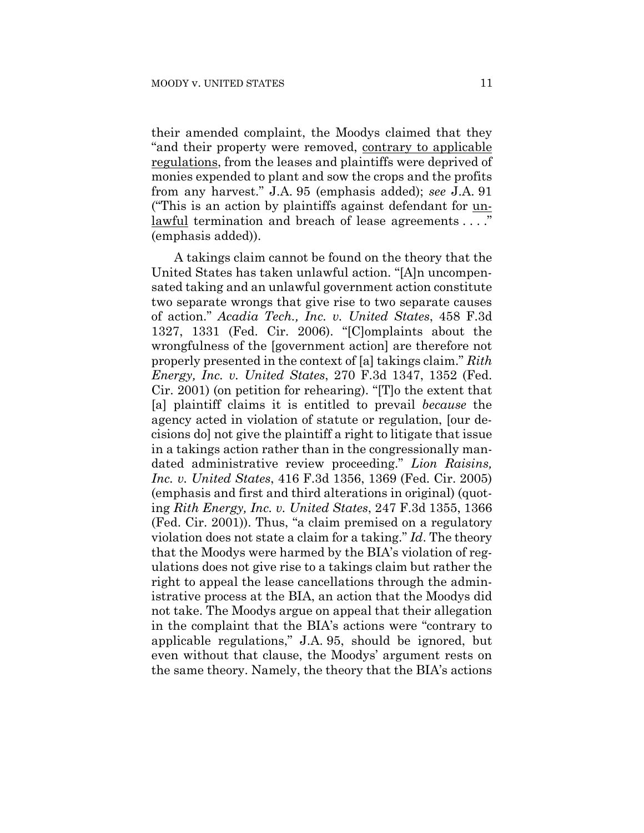their amended complaint, the Moodys claimed that they "and their property were removed, contrary to applicable regulations, from the leases and plaintiffs were deprived of monies expended to plant and sow the crops and the profits from any harvest." J.A. 95 (emphasis added); *see* J.A. 91 ("This is an action by plaintiffs against defendant for unlawful termination and breach of lease agreements ...." (emphasis added)).

A takings claim cannot be found on the theory that the United States has taken unlawful action. "[A]n uncompensated taking and an unlawful government action constitute two separate wrongs that give rise to two separate causes of action." *Acadia Tech., Inc. v. United States*, 458 F.3d 1327, 1331 (Fed. Cir. 2006). "[C]omplaints about the wrongfulness of the [government action] are therefore not properly presented in the context of [a] takings claim." *Rith Energy, Inc. v. United States*, 270 F.3d 1347, 1352 (Fed. Cir. 2001) (on petition for rehearing). "[T]o the extent that [a] plaintiff claims it is entitled to prevail *because* the agency acted in violation of statute or regulation, [our decisions do] not give the plaintiff a right to litigate that issue in a takings action rather than in the congressionally mandated administrative review proceeding." *Lion Raisins, Inc. v. United States*, 416 F.3d 1356, 1369 (Fed. Cir. 2005) (emphasis and first and third alterations in original) (quoting *Rith Energy, Inc. v. United States*, 247 F.3d 1355, 1366 (Fed. Cir. 2001)). Thus, "a claim premised on a regulatory violation does not state a claim for a taking." *Id*. The theory that the Moodys were harmed by the BIA's violation of regulations does not give rise to a takings claim but rather the right to appeal the lease cancellations through the administrative process at the BIA, an action that the Moodys did not take. The Moodys argue on appeal that their allegation in the complaint that the BIA's actions were "contrary to applicable regulations," J.A. 95, should be ignored, but even without that clause, the Moodys' argument rests on the same theory. Namely, the theory that the BIA's actions